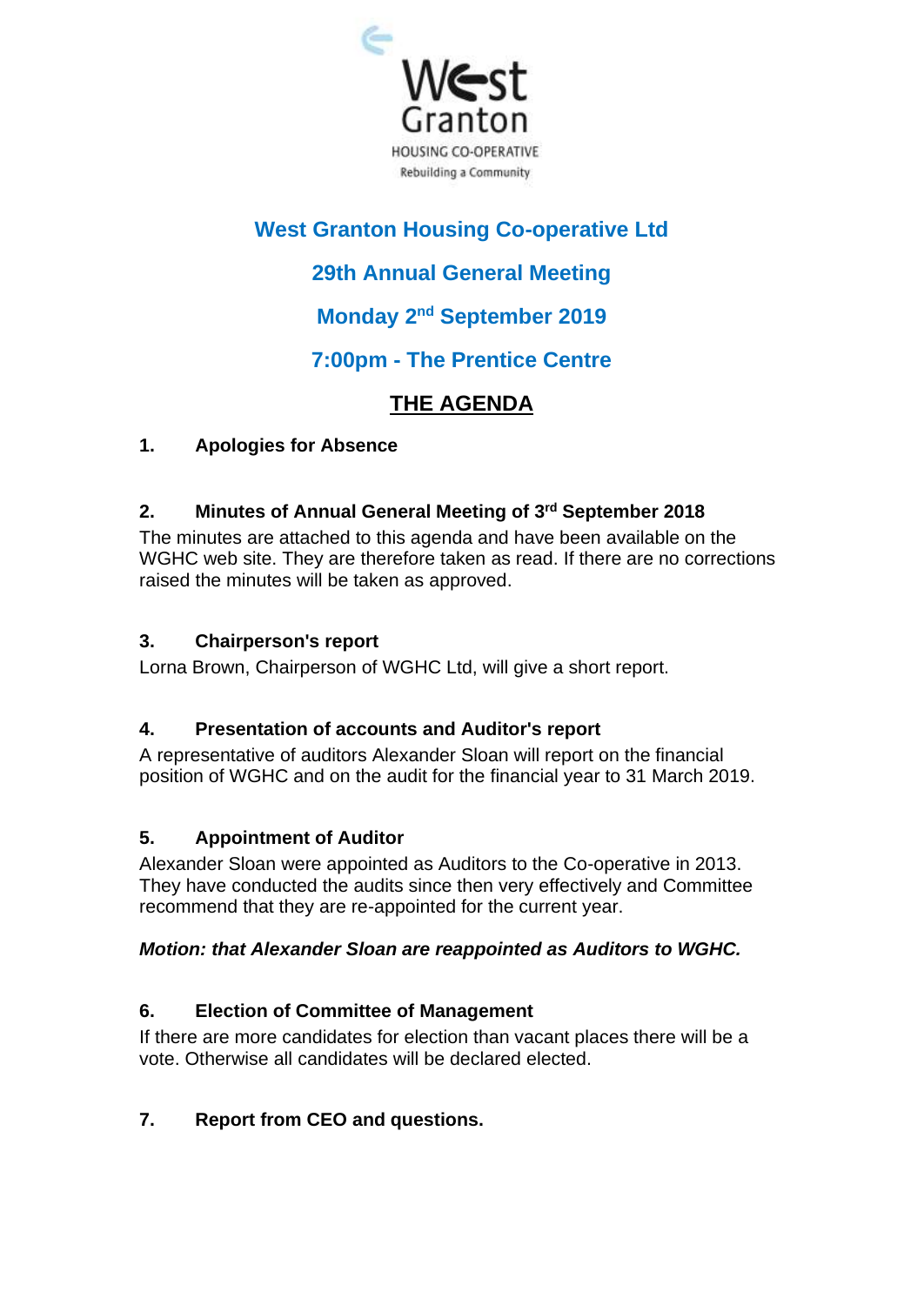

# **West Granton Housing Co-operative Ltd**

# **29th Annual General Meeting**

## **Monday 2<sup>nd</sup> September 2019**

## **7:00pm - The Prentice Centre**

# **THE AGENDA**

### **1. Apologies for Absence**

### **2. Minutes of Annual General Meeting of 3 rd September 2018**

The minutes are attached to this agenda and have been available on the WGHC web site. They are therefore taken as read. If there are no corrections raised the minutes will be taken as approved.

### **3. Chairperson's report**

Lorna Brown, Chairperson of WGHC Ltd, will give a short report.

## **4. Presentation of accounts and Auditor's report**

A representative of auditors Alexander Sloan will report on the financial position of WGHC and on the audit for the financial year to 31 March 2019.

## **5. Appointment of Auditor**

Alexander Sloan were appointed as Auditors to the Co-operative in 2013. They have conducted the audits since then very effectively and Committee recommend that they are re-appointed for the current year.

## *Motion: that Alexander Sloan are reappointed as Auditors to WGHC.*

## **6. Election of Committee of Management**

If there are more candidates for election than vacant places there will be a vote. Otherwise all candidates will be declared elected.

## **7. Report from CEO and questions.**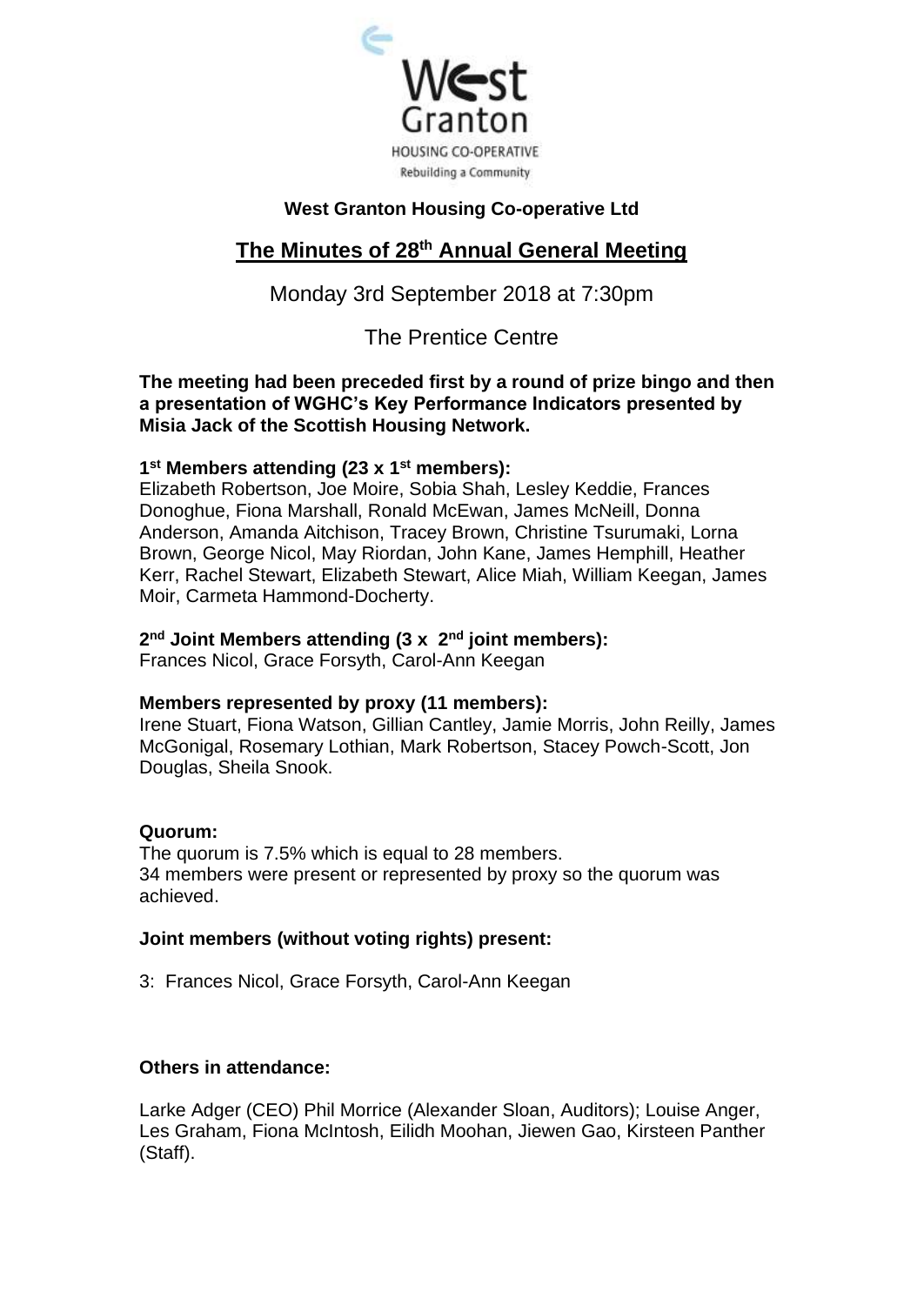

#### **West Granton Housing Co-operative Ltd**

## **The Minutes of 28 th Annual General Meeting**

### Monday 3rd September 2018 at 7:30pm

### The Prentice Centre

**The meeting had been preceded first by a round of prize bingo and then a presentation of WGHC's Key Performance Indicators presented by Misia Jack of the Scottish Housing Network.**

#### **1 st Members attending (23 x 1st members):**

Elizabeth Robertson, Joe Moire, Sobia Shah, Lesley Keddie, Frances Donoghue, Fiona Marshall, Ronald McEwan, James McNeill, Donna Anderson, Amanda Aitchison, Tracey Brown, Christine Tsurumaki, Lorna Brown, George Nicol, May Riordan, John Kane, James Hemphill, Heather Kerr, Rachel Stewart, Elizabeth Stewart, Alice Miah, William Keegan, James Moir, Carmeta Hammond-Docherty.

#### **2 nd Joint Members attending (3 x 2nd joint members):**

Frances Nicol, Grace Forsyth, Carol-Ann Keegan

#### **Members represented by proxy (11 members):**

Irene Stuart, Fiona Watson, Gillian Cantley, Jamie Morris, John Reilly, James McGonigal, Rosemary Lothian, Mark Robertson, Stacey Powch-Scott, Jon Douglas, Sheila Snook.

#### **Quorum:**

The quorum is 7.5% which is equal to 28 members. 34 members were present or represented by proxy so the quorum was achieved.

#### **Joint members (without voting rights) present:**

3: Frances Nicol, Grace Forsyth, Carol-Ann Keegan

#### **Others in attendance:**

Larke Adger (CEO) Phil Morrice (Alexander Sloan, Auditors); Louise Anger, Les Graham, Fiona McIntosh, Eilidh Moohan, Jiewen Gao, Kirsteen Panther (Staff).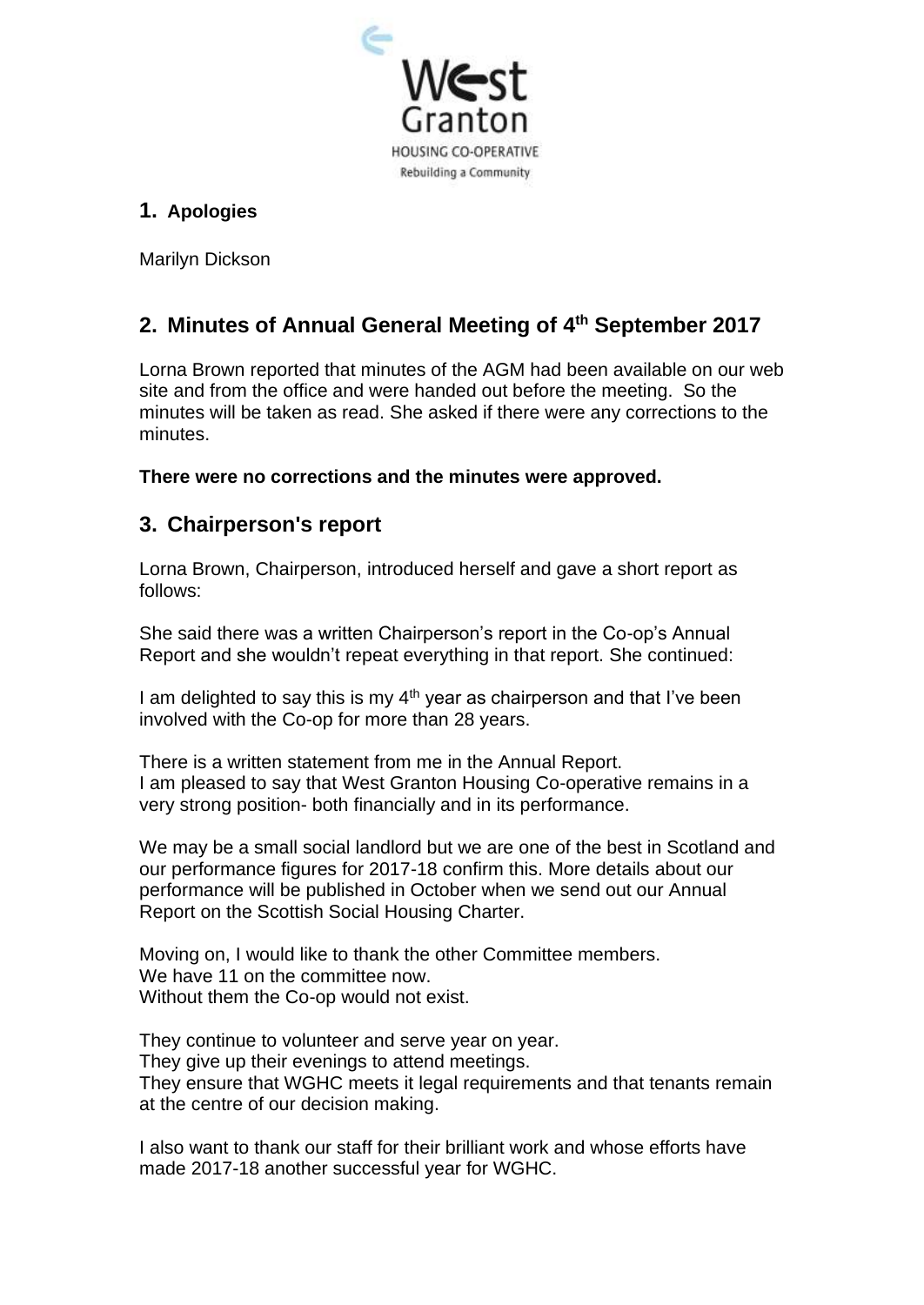

## **1. Apologies**

Marilyn Dickson

## **2. Minutes of Annual General Meeting of 4 th September 2017**

Lorna Brown reported that minutes of the AGM had been available on our web site and from the office and were handed out before the meeting. So the minutes will be taken as read. She asked if there were any corrections to the minutes.

**There were no corrections and the minutes were approved.**

## **3. Chairperson's report**

Lorna Brown, Chairperson, introduced herself and gave a short report as follows:

She said there was a written Chairperson's report in the Co-op's Annual Report and she wouldn't repeat everything in that report. She continued:

I am delighted to say this is my  $4<sup>th</sup>$  year as chairperson and that I've been involved with the Co-op for more than 28 years.

There is a written statement from me in the Annual Report. I am pleased to say that West Granton Housing Co-operative remains in a very strong position- both financially and in its performance.

We may be a small social landlord but we are one of the best in Scotland and our performance figures for 2017-18 confirm this. More details about our performance will be published in October when we send out our Annual Report on the Scottish Social Housing Charter.

Moving on, I would like to thank the other Committee members. We have 11 on the committee now. Without them the Co-op would not exist.

They continue to volunteer and serve year on year. They give up their evenings to attend meetings. They ensure that WGHC meets it legal requirements and that tenants remain at the centre of our decision making.

I also want to thank our staff for their brilliant work and whose efforts have made 2017-18 another successful year for WGHC.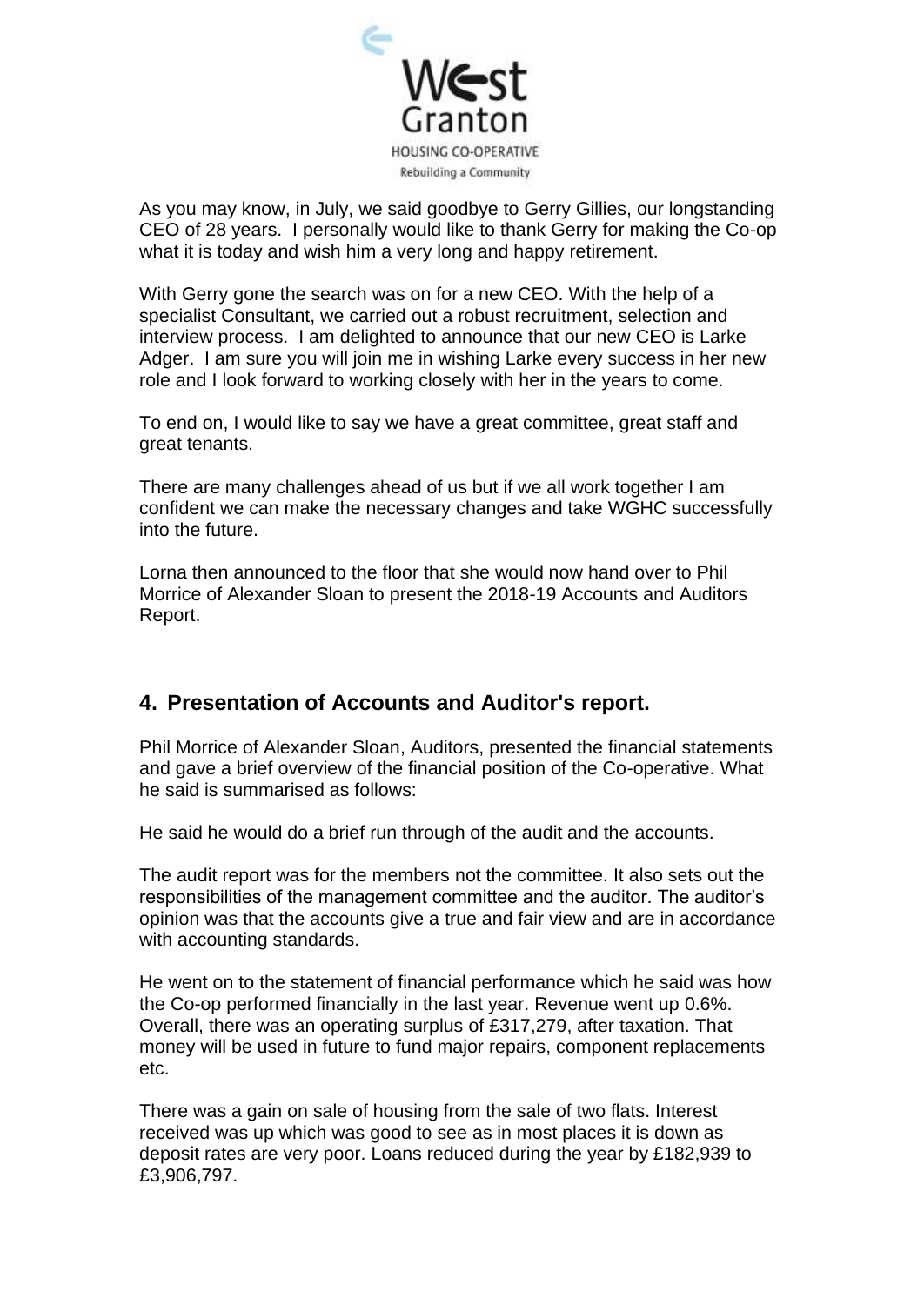

As you may know, in July, we said goodbye to Gerry Gillies, our longstanding CEO of 28 years. I personally would like to thank Gerry for making the Co-op what it is today and wish him a very long and happy retirement.

With Gerry gone the search was on for a new CEO. With the help of a specialist Consultant, we carried out a robust recruitment, selection and interview process. I am delighted to announce that our new CEO is Larke Adger. I am sure you will join me in wishing Larke every success in her new role and I look forward to working closely with her in the years to come.

To end on, I would like to say we have a great committee, great staff and great tenants.

There are many challenges ahead of us but if we all work together I am confident we can make the necessary changes and take WGHC successfully into the future.

Lorna then announced to the floor that she would now hand over to Phil Morrice of Alexander Sloan to present the 2018-19 Accounts and Auditors Report.

## **4. Presentation of Accounts and Auditor's report.**

Phil Morrice of Alexander Sloan, Auditors, presented the financial statements and gave a brief overview of the financial position of the Co-operative. What he said is summarised as follows:

He said he would do a brief run through of the audit and the accounts.

The audit report was for the members not the committee. It also sets out the responsibilities of the management committee and the auditor. The auditor's opinion was that the accounts give a true and fair view and are in accordance with accounting standards.

He went on to the statement of financial performance which he said was how the Co-op performed financially in the last year. Revenue went up 0.6%. Overall, there was an operating surplus of £317,279, after taxation. That money will be used in future to fund major repairs, component replacements etc.

There was a gain on sale of housing from the sale of two flats. Interest received was up which was good to see as in most places it is down as deposit rates are very poor. Loans reduced during the year by £182,939 to £3,906,797.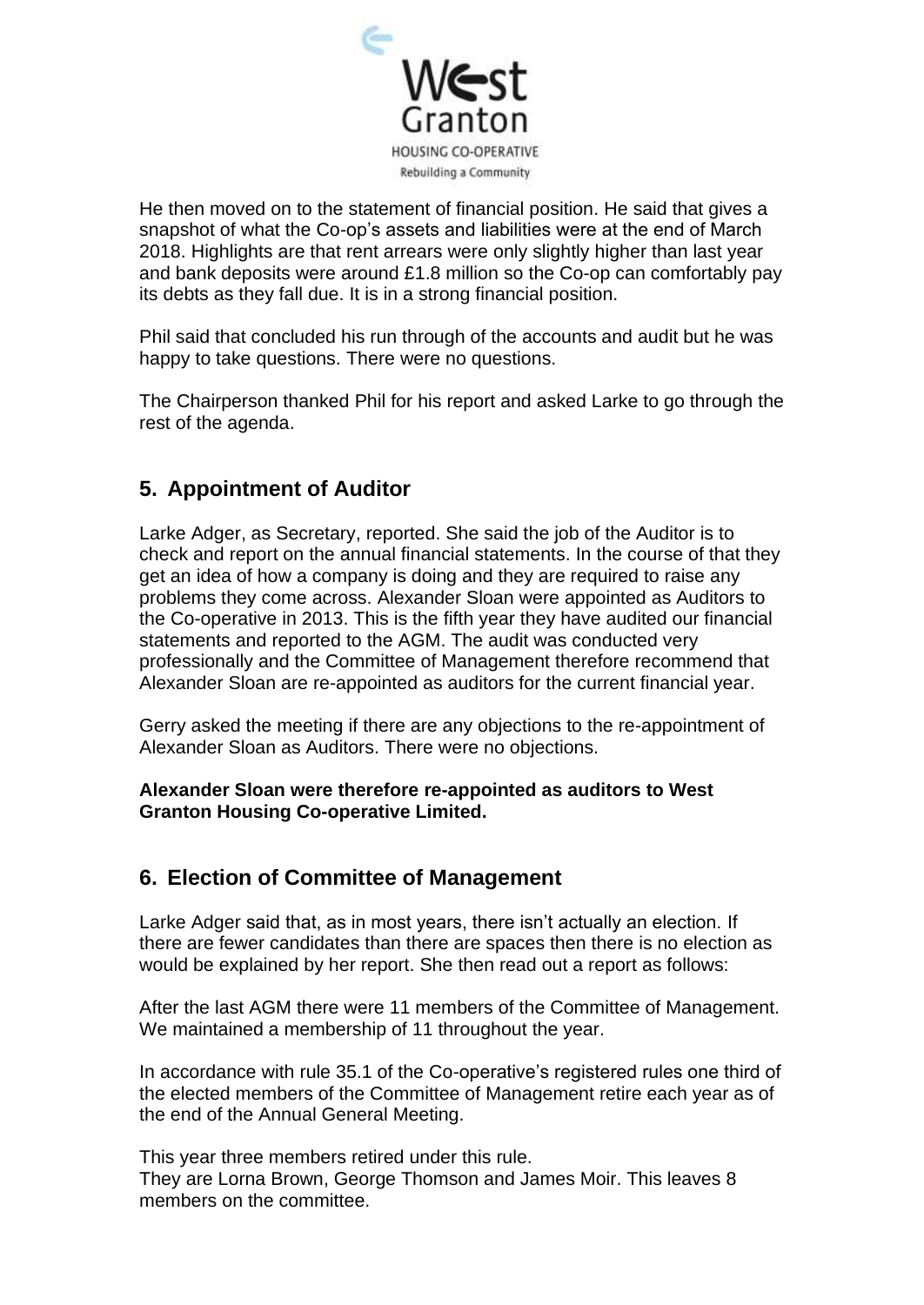

He then moved on to the statement of financial position. He said that gives a snapshot of what the Co-op's assets and liabilities were at the end of March 2018. Highlights are that rent arrears were only slightly higher than last year and bank deposits were around £1.8 million so the Co-op can comfortably pay its debts as they fall due. It is in a strong financial position.

Phil said that concluded his run through of the accounts and audit but he was happy to take questions. There were no questions.

The Chairperson thanked Phil for his report and asked Larke to go through the rest of the agenda.

## **5. Appointment of Auditor**

Larke Adger, as Secretary, reported. She said the job of the Auditor is to check and report on the annual financial statements. In the course of that they get an idea of how a company is doing and they are required to raise any problems they come across. Alexander Sloan were appointed as Auditors to the Co-operative in 2013. This is the fifth year they have audited our financial statements and reported to the AGM. The audit was conducted very professionally and the Committee of Management therefore recommend that Alexander Sloan are re-appointed as auditors for the current financial year.

Gerry asked the meeting if there are any objections to the re-appointment of Alexander Sloan as Auditors. There were no objections.

#### **Alexander Sloan were therefore re-appointed as auditors to West Granton Housing Co-operative Limited.**

## **6. Election of Committee of Management**

Larke Adger said that, as in most years, there isn't actually an election. If there are fewer candidates than there are spaces then there is no election as would be explained by her report. She then read out a report as follows:

After the last AGM there were 11 members of the Committee of Management. We maintained a membership of 11 throughout the year.

In accordance with rule 35.1 of the Co-operative's registered rules one third of the elected members of the Committee of Management retire each year as of the end of the Annual General Meeting.

This year three members retired under this rule. They are Lorna Brown, George Thomson and James Moir. This leaves 8 members on the committee.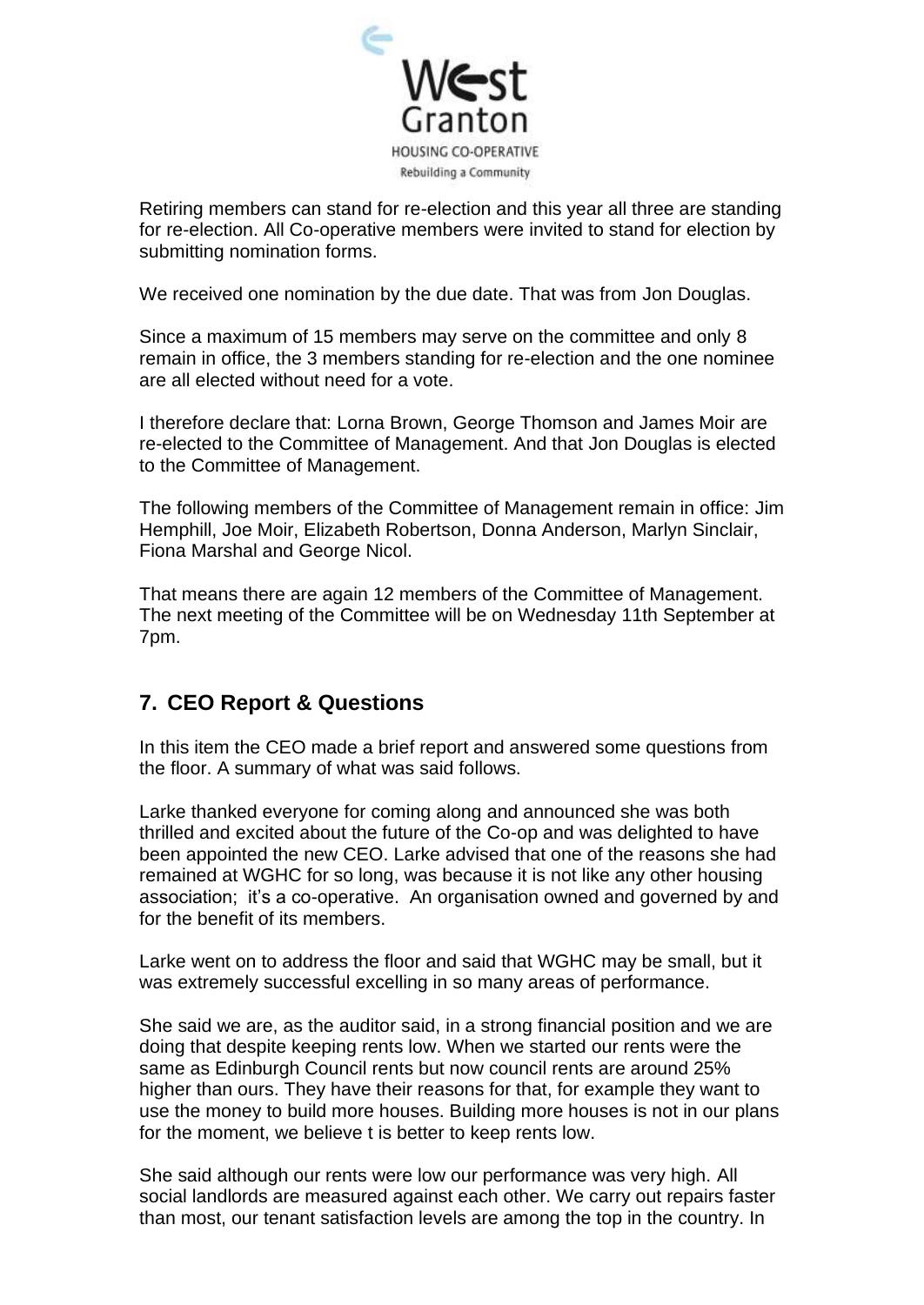

Retiring members can stand for re-election and this year all three are standing for re-election. All Co-operative members were invited to stand for election by submitting nomination forms.

We received one nomination by the due date. That was from Jon Douglas.

Since a maximum of 15 members may serve on the committee and only 8 remain in office, the 3 members standing for re-election and the one nominee are all elected without need for a vote.

I therefore declare that: Lorna Brown, George Thomson and James Moir are re-elected to the Committee of Management. And that Jon Douglas is elected to the Committee of Management.

The following members of the Committee of Management remain in office: Jim Hemphill, Joe Moir, Elizabeth Robertson, Donna Anderson, Marlyn Sinclair, Fiona Marshal and George Nicol.

That means there are again 12 members of the Committee of Management. The next meeting of the Committee will be on Wednesday 11th September at 7pm.

## **7. CEO Report & Questions**

In this item the CEO made a brief report and answered some questions from the floor. A summary of what was said follows.

Larke thanked everyone for coming along and announced she was both thrilled and excited about the future of the Co-op and was delighted to have been appointed the new CEO. Larke advised that one of the reasons she had remained at WGHC for so long, was because it is not like any other housing association; it's a co-operative. An organisation owned and governed by and for the benefit of its members.

Larke went on to address the floor and said that WGHC may be small, but it was extremely successful excelling in so many areas of performance.

She said we are, as the auditor said, in a strong financial position and we are doing that despite keeping rents low. When we started our rents were the same as Edinburgh Council rents but now council rents are around 25% higher than ours. They have their reasons for that, for example they want to use the money to build more houses. Building more houses is not in our plans for the moment, we believe t is better to keep rents low.

She said although our rents were low our performance was very high. All social landlords are measured against each other. We carry out repairs faster than most, our tenant satisfaction levels are among the top in the country. In